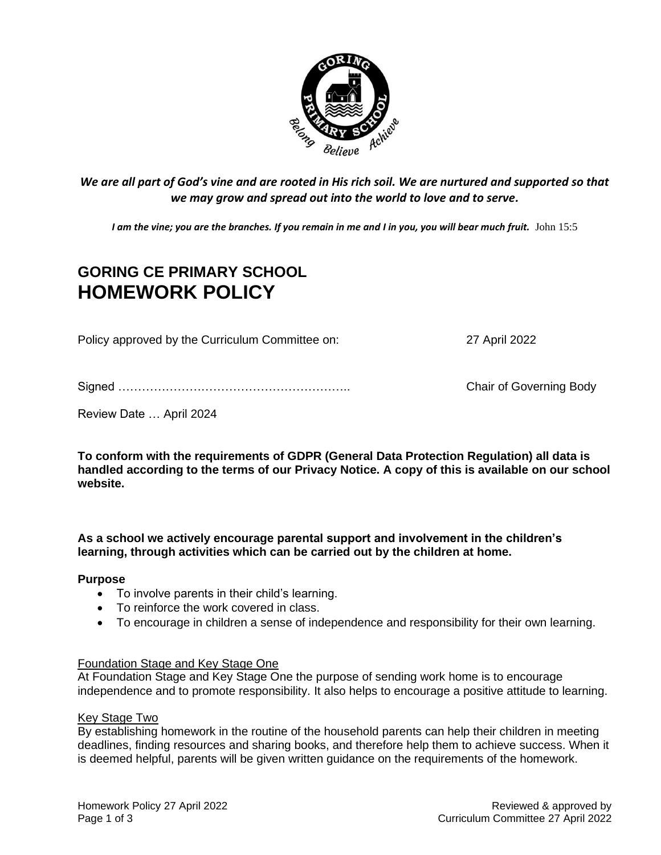

*We are all part of God's vine and are rooted in His rich soil. We are nurtured and supported so that we may grow and spread out into the world to love and to serve.*

*I am the vine; you are the branches. If you remain in me and I in you, you will bear much fruit.* John 15:5

# **GORING CE PRIMARY SCHOOL HOMEWORK POLICY**

Policy approved by the Curriculum Committee on: 27 April 2022

Signed ………………………………………………….. Chair of Governing Body

Review Date … April 2024

**To conform with the requirements of GDPR (General Data Protection Regulation) all data is handled according to the terms of our Privacy Notice. A copy of this is available on our school website.** 

**As a school we actively encourage parental support and involvement in the children's learning, through activities which can be carried out by the children at home.** 

### **Purpose**

- To involve parents in their child's learning.
- To reinforce the work covered in class.
- To encourage in children a sense of independence and responsibility for their own learning.

### Foundation Stage and Key Stage One

At Foundation Stage and Key Stage One the purpose of sending work home is to encourage independence and to promote responsibility. It also helps to encourage a positive attitude to learning.

### Key Stage Two

By establishing homework in the routine of the household parents can help their children in meeting deadlines, finding resources and sharing books, and therefore help them to achieve success. When it is deemed helpful, parents will be given written guidance on the requirements of the homework.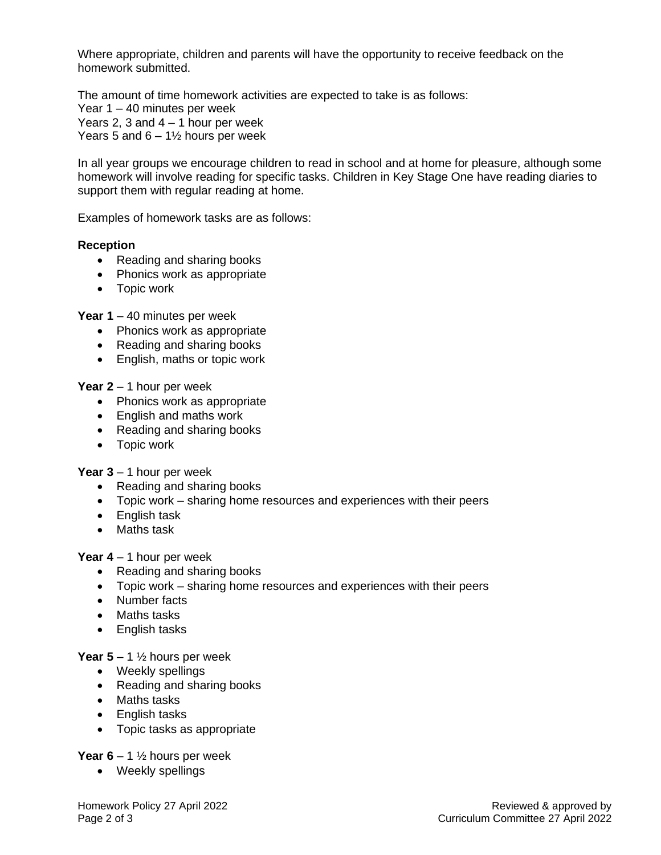Where appropriate, children and parents will have the opportunity to receive feedback on the homework submitted.

The amount of time homework activities are expected to take is as follows: Year 1 – 40 minutes per week Years 2, 3 and  $4 - 1$  hour per week Years 5 and  $6 - 1\frac{1}{2}$  hours per week

In all year groups we encourage children to read in school and at home for pleasure, although some homework will involve reading for specific tasks. Children in Key Stage One have reading diaries to support them with regular reading at home.

Examples of homework tasks are as follows:

# **Reception**

- Reading and sharing books
- Phonics work as appropriate
- Topic work

**Year 1** – 40 minutes per week

- Phonics work as appropriate
- Reading and sharing books
- English, maths or topic work

# **Year 2** – 1 hour per week

- Phonics work as appropriate
- English and maths work
- Reading and sharing books
- Topic work

**Year 3** – 1 hour per week

- Reading and sharing books
- Topic work sharing home resources and experiences with their peers
- English task
- Maths task

**Year 4** – 1 hour per week

- Reading and sharing books
- Topic work sharing home resources and experiences with their peers
- Number facts
- Maths tasks
- English tasks

**Year 5** – 1  $\frac{1}{2}$  hours per week

- Weekly spellings
- Reading and sharing books
- Maths tasks
- English tasks
- Topic tasks as appropriate

**Year 6** – 1  $\frac{1}{2}$  hours per week

• Weekly spellings